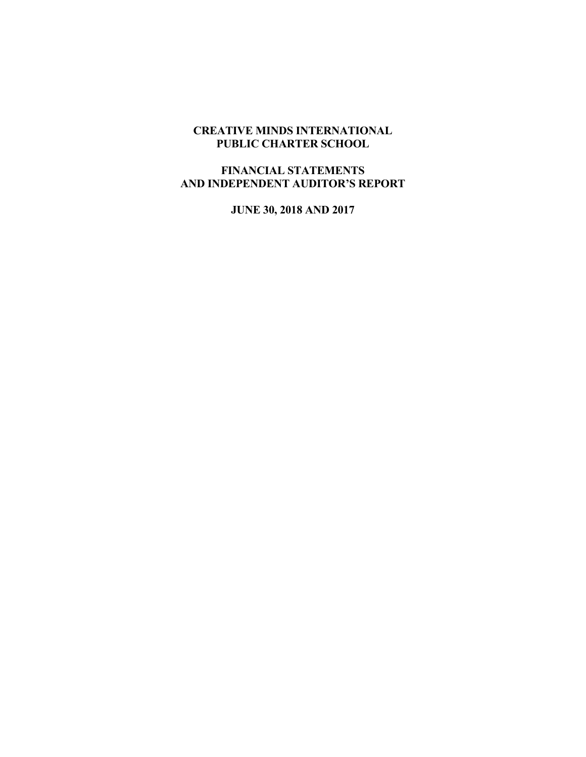# **CREATIVE MINDS INTERNATIONAL PUBLIC CHARTER SCHOOL**

## **FINANCIAL STATEMENTS AND INDEPENDENT AUDITOR'S REPORT**

**JUNE 30, 2018 AND 2017**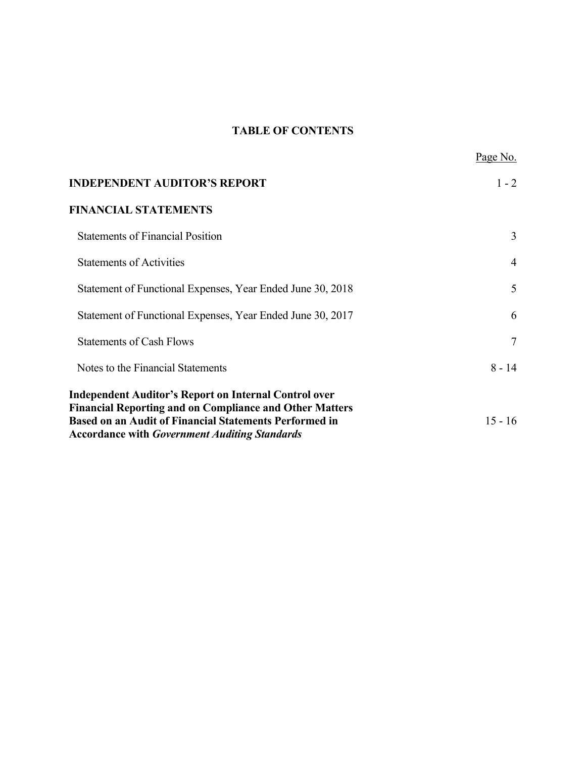# **TABLE OF CONTENTS**

|                                                                                                                                                                                                                                                         | Page No.       |
|---------------------------------------------------------------------------------------------------------------------------------------------------------------------------------------------------------------------------------------------------------|----------------|
| <b>INDEPENDENT AUDITOR'S REPORT</b>                                                                                                                                                                                                                     | $1 - 2$        |
| <b>FINANCIAL STATEMENTS</b>                                                                                                                                                                                                                             |                |
| <b>Statements of Financial Position</b>                                                                                                                                                                                                                 | 3              |
| <b>Statements of Activities</b>                                                                                                                                                                                                                         | $\overline{4}$ |
| Statement of Functional Expenses, Year Ended June 30, 2018                                                                                                                                                                                              | 5              |
| Statement of Functional Expenses, Year Ended June 30, 2017                                                                                                                                                                                              | 6              |
| <b>Statements of Cash Flows</b>                                                                                                                                                                                                                         | $\overline{7}$ |
| Notes to the Financial Statements                                                                                                                                                                                                                       | $8 - 14$       |
| <b>Independent Auditor's Report on Internal Control over</b><br><b>Financial Reporting and on Compliance and Other Matters</b><br><b>Based on an Audit of Financial Statements Performed in</b><br><b>Accordance with Government Auditing Standards</b> | $15 - 16$      |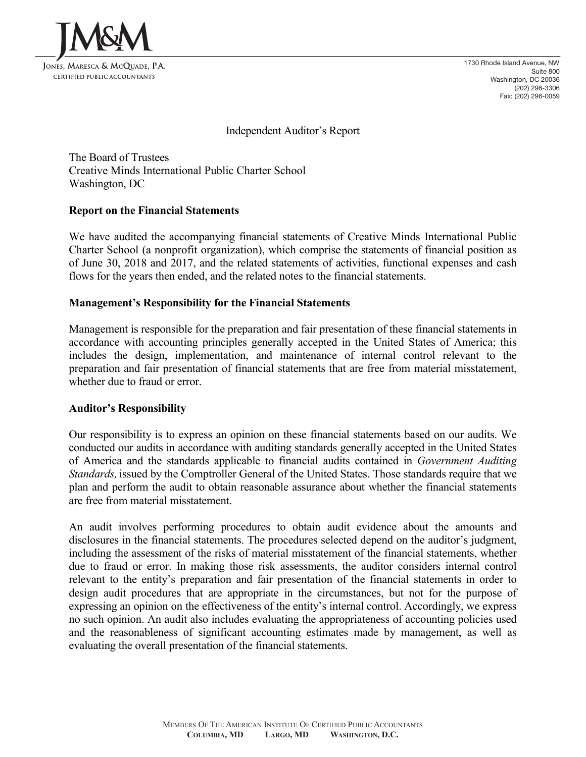

### Independent Auditor's Report

The Board of Trustees Creative Minds International Public Charter School Washington, DC

### **Report on the Financial Statements**

We have audited the accompanying financial statements of Creative Minds International Public Charter School (a nonprofit organization), which comprise the statements of financial position as of June 30, 2018 and 2017, and the related statements of activities, functional expenses and cash flows for the years then ended, and the related notes to the financial statements.

### **Management's Responsibility for the Financial Statements**

Management is responsible for the preparation and fair presentation of these financial statements in accordance with accounting principles generally accepted in the United States of America; this includes the design, implementation, and maintenance of internal control relevant to the preparation and fair presentation of financial statements that are free from material misstatement, whether due to fraud or error.

### **Auditor's Responsibility**

Our responsibility is to express an opinion on these financial statements based on our audits. We conducted our audits in accordance with auditing standards generally accepted in the United States of America and the standards applicable to financial audits contained in *Government Auditing Standards,* issued by the Comptroller General of the United States. Those standards require that we plan and perform the audit to obtain reasonable assurance about whether the financial statements are free from material misstatement.

An audit involves performing procedures to obtain audit evidence about the amounts and disclosures in the financial statements. The procedures selected depend on the auditor's judgment, including the assessment of the risks of material misstatement of the financial statements, whether due to fraud or error. In making those risk assessments, the auditor considers internal control relevant to the entity's preparation and fair presentation of the financial statements in order to design audit procedures that are appropriate in the circumstances, but not for the purpose of expressing an opinion on the effectiveness of the entity's internal control. Accordingly, we express no such opinion. An audit also includes evaluating the appropriateness of accounting policies used and the reasonableness of significant accounting estimates made by management, as well as evaluating the overall presentation of the financial statements.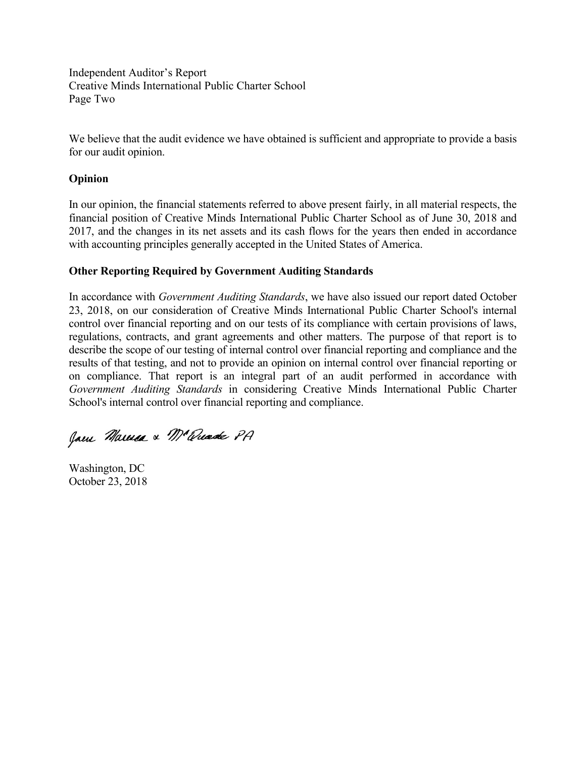Independent Auditor's Report Creative Minds International Public Charter School Page Two

We believe that the audit evidence we have obtained is sufficient and appropriate to provide a basis for our audit opinion.

## **Opinion**

In our opinion, the financial statements referred to above present fairly, in all material respects, the financial position of Creative Minds International Public Charter School as of June 30, 2018 and 2017, and the changes in its net assets and its cash flows for the years then ended in accordance with accounting principles generally accepted in the United States of America.

# **Other Reporting Required by Government Auditing Standards**

In accordance with *Government Auditing Standards*, we have also issued our report dated October 23, 2018, on our consideration of Creative Minds International Public Charter School's internal control over financial reporting and on our tests of its compliance with certain provisions of laws, regulations, contracts, and grant agreements and other matters. The purpose of that report is to describe the scope of our testing of internal control over financial reporting and compliance and the results of that testing, and not to provide an opinion on internal control over financial reporting or on compliance. That report is an integral part of an audit performed in accordance with *Government Auditing Standards* in considering Creative Minds International Public Charter School's internal control over financial reporting and compliance.

Jam Marca & Ma Quade PA

Washington, DC October 23, 2018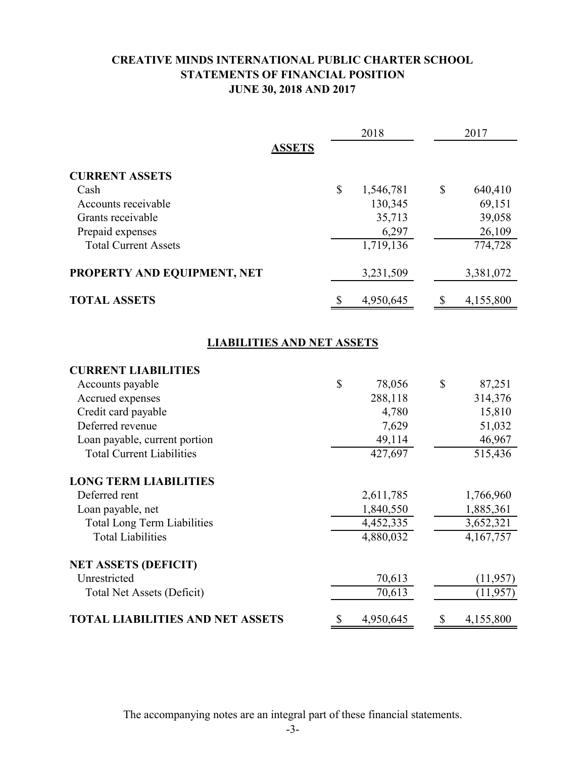# **CREATIVE MINDS INTERNATIONAL PUBLIC CHARTER SCHOOL STATEMENTS OF FINANCIAL POSITION JUNE 30, 2018 AND 2017**

|                                         |              | 2018      |               | 2017      |
|-----------------------------------------|--------------|-----------|---------------|-----------|
| <b>ASSETS</b>                           |              |           |               |           |
| <b>CURRENT ASSETS</b>                   |              |           |               |           |
| Cash                                    | $\mathbb{S}$ | 1,546,781 | $\mathcal{S}$ | 640,410   |
| Accounts receivable                     |              | 130,345   |               | 69,151    |
| Grants receivable                       |              | 35,713    |               | 39,058    |
| Prepaid expenses                        |              | 6,297     |               | 26,109    |
| <b>Total Current Assets</b>             |              | 1,719,136 |               | 774,728   |
| PROPERTY AND EQUIPMENT, NET             |              | 3,231,509 |               | 3,381,072 |
| <b>TOTAL ASSETS</b>                     | <sup>8</sup> | 4,950,645 | $\mathbb{S}$  | 4,155,800 |
|                                         |              |           |               |           |
| <b>LIABILITIES AND NET ASSETS</b>       |              |           |               |           |
| <b>CURRENT LIABILITIES</b>              |              |           |               |           |
| Accounts payable                        | \$           | 78,056    | $\mathbb{S}$  | 87,251    |
| Accrued expenses                        |              | 288,118   |               | 314,376   |
| Credit card payable                     |              | 4,780     |               | 15,810    |
| Deferred revenue                        |              | 7,629     |               | 51,032    |
| Loan payable, current portion           |              | 49,114    |               | 46,967    |
| <b>Total Current Liabilities</b>        |              | 427,697   |               | 515,436   |
| <b>LONG TERM LIABILITIES</b>            |              |           |               |           |
| Deferred rent                           |              | 2,611,785 |               | 1,766,960 |
| Loan payable, net                       |              | 1,840,550 |               | 1,885,361 |
| <b>Total Long Term Liabilities</b>      |              | 4,452,335 |               | 3,652,321 |
| <b>Total Liabilities</b>                |              | 4,880,032 |               | 4,167,757 |
| <b>NET ASSETS (DEFICIT)</b>             |              |           |               |           |
| Unrestricted                            |              | 70,613    |               | (11, 957) |
| <b>Total Net Assets (Deficit)</b>       |              | 70,613    |               | (11, 957) |
| <b>TOTAL LIABILITIES AND NET ASSETS</b> | \$           | 4,950,645 | \$            | 4,155,800 |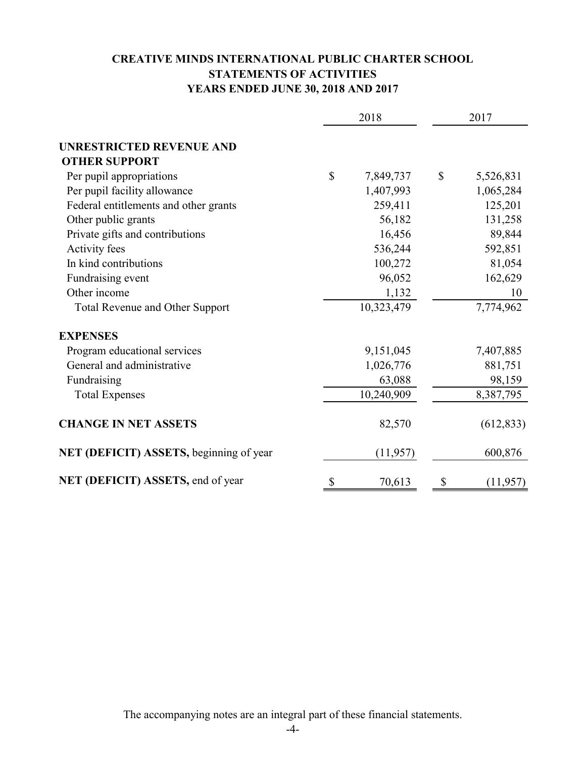# **CREATIVE MINDS INTERNATIONAL PUBLIC CHARTER SCHOOL STATEMENTS OF ACTIVITIES YEARS ENDED JUNE 30, 2018 AND 2017**

|                                         | 2018         |            | 2017 |            |
|-----------------------------------------|--------------|------------|------|------------|
|                                         |              |            |      |            |
| <b>UNRESTRICTED REVENUE AND</b>         |              |            |      |            |
| <b>OTHER SUPPORT</b>                    |              |            |      |            |
| Per pupil appropriations                | $\mathbb{S}$ | 7,849,737  | \$   | 5,526,831  |
| Per pupil facility allowance            |              | 1,407,993  |      | 1,065,284  |
| Federal entitlements and other grants   |              | 259,411    |      | 125,201    |
| Other public grants                     |              | 56,182     |      | 131,258    |
| Private gifts and contributions         |              | 16,456     |      | 89,844     |
| Activity fees                           |              | 536,244    |      | 592,851    |
| In kind contributions                   |              | 100,272    |      | 81,054     |
| Fundraising event                       |              | 96,052     |      | 162,629    |
| Other income                            |              | 1,132      |      | 10         |
| <b>Total Revenue and Other Support</b>  |              | 10,323,479 |      | 7,774,962  |
| <b>EXPENSES</b>                         |              |            |      |            |
| Program educational services            |              | 9,151,045  |      | 7,407,885  |
| General and administrative              |              | 1,026,776  |      | 881,751    |
| Fundraising                             |              | 63,088     |      | 98,159     |
| <b>Total Expenses</b>                   |              | 10,240,909 |      | 8,387,795  |
| <b>CHANGE IN NET ASSETS</b>             |              | 82,570     |      | (612, 833) |
| NET (DEFICIT) ASSETS, beginning of year |              | (11, 957)  |      | 600,876    |
| NET (DEFICIT) ASSETS, end of year       | \$           | 70,613     | \$   | (11, 957)  |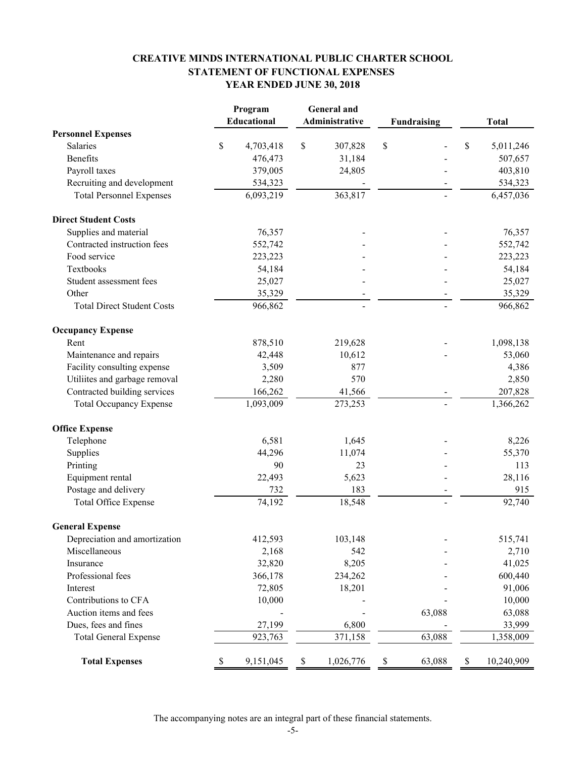# **CREATIVE MINDS INTERNATIONAL PUBLIC CHARTER SCHOOL STATEMENT OF FUNCTIONAL EXPENSES YEAR ENDED JUNE 30, 2018**

|                                   | Program            |      | <b>General</b> and |              |                    |             |              |
|-----------------------------------|--------------------|------|--------------------|--------------|--------------------|-------------|--------------|
|                                   | <b>Educational</b> |      | Administrative     |              | <b>Fundraising</b> |             | <b>Total</b> |
| <b>Personnel Expenses</b>         |                    |      |                    |              |                    |             |              |
| Salaries                          | \$<br>4,703,418    | \$   | 307,828            | \$           |                    | \$          | 5,011,246    |
| <b>Benefits</b>                   | 476,473            |      | 31,184             |              |                    |             | 507,657      |
| Payroll taxes                     | 379,005            |      | 24,805             |              |                    |             | 403,810      |
| Recruiting and development        | 534,323            |      |                    |              |                    |             | 534,323      |
| <b>Total Personnel Expenses</b>   | 6,093,219          |      | 363,817            |              |                    |             | 6,457,036    |
| <b>Direct Student Costs</b>       |                    |      |                    |              |                    |             |              |
| Supplies and material             | 76,357             |      |                    |              |                    |             | 76,357       |
| Contracted instruction fees       | 552,742            |      |                    |              |                    |             | 552,742      |
| Food service                      | 223,223            |      |                    |              |                    |             | 223,223      |
| Textbooks                         | 54,184             |      |                    |              |                    |             | 54,184       |
| Student assessment fees           | 25,027             |      |                    |              |                    |             | 25,027       |
| Other                             | 35,329             |      |                    |              |                    |             | 35,329       |
| <b>Total Direct Student Costs</b> | 966,862            |      |                    |              |                    |             | 966,862      |
| <b>Occupancy Expense</b>          |                    |      |                    |              |                    |             |              |
| Rent                              | 878,510            |      | 219,628            |              |                    |             | 1,098,138    |
| Maintenance and repairs           | 42,448             |      | 10,612             |              |                    |             | 53,060       |
| Facility consulting expense       | 3,509              |      | 877                |              |                    |             | 4,386        |
| Utiliites and garbage removal     | 2,280              |      | 570                |              |                    |             | 2,850        |
| Contracted building services      | 166,262            |      | 41,566             |              |                    |             | 207,828      |
| <b>Total Occupancy Expense</b>    | 1,093,009          |      | 273,253            |              |                    |             | 1,366,262    |
| <b>Office Expense</b>             |                    |      |                    |              |                    |             |              |
| Telephone                         | 6,581              |      | 1,645              |              |                    |             | 8,226        |
| Supplies                          | 44,296             |      | 11,074             |              |                    |             | 55,370       |
| Printing                          | 90                 |      | 23                 |              |                    |             | 113          |
| Equipment rental                  | 22,493             |      | 5,623              |              |                    |             | 28,116       |
| Postage and delivery              | 732                |      | 183                |              |                    |             | 915          |
| <b>Total Office Expense</b>       | 74,192             |      | 18,548             |              |                    |             | 92,740       |
| <b>General Expense</b>            |                    |      |                    |              |                    |             |              |
| Depreciation and amortization     | 412,593            |      | 103,148            |              |                    |             | 515,741      |
| Miscellaneous                     | 2,168              |      | 542                |              |                    |             | 2,710        |
| Insurance                         | 32,820             |      | 8,205              |              |                    |             | 41,025       |
| Professional fees                 | 366,178            |      | 234,262            |              |                    |             | 600,440      |
| Interest                          | 72,805             |      | 18,201             |              |                    |             | 91,006       |
| Contributions to CFA              | 10,000             |      |                    |              |                    |             | 10,000       |
| Auction items and fees            |                    |      |                    |              | 63,088             |             | 63,088       |
| Dues, fees and fines              | 27,199             |      | 6,800              |              |                    |             | 33,999       |
| <b>Total General Expense</b>      | 923,763            |      | 371,158            |              | 63,088             |             | 1,358,009    |
| <b>Total Expenses</b>             | \$<br>9,151,045    | $\$$ | 1,026,776          | $\mathbb{S}$ | 63,088             | $\mathbb S$ | 10,240,909   |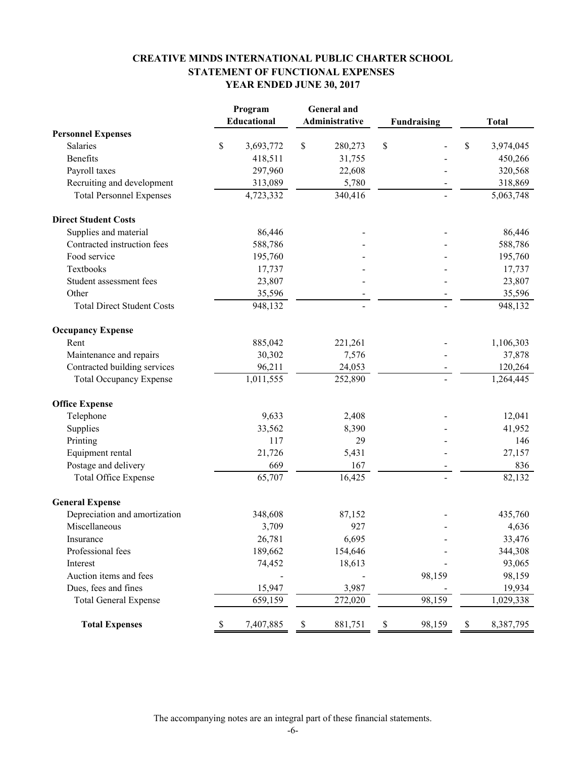# **CREATIVE MINDS INTERNATIONAL PUBLIC CHARTER SCHOOL STATEMENT OF FUNCTIONAL EXPENSES YEAR ENDED JUNE 30, 2017**

|                                   |      | Program                |             | <b>General</b> and |                    |        |             |              |
|-----------------------------------|------|------------------------|-------------|--------------------|--------------------|--------|-------------|--------------|
|                                   |      | Educational            |             | Administrative     | <b>Fundraising</b> |        |             | <b>Total</b> |
| <b>Personnel Expenses</b>         |      |                        |             |                    |                    |        |             |              |
| Salaries                          | \$   | 3,693,772              | \$          | 280,273            | \$                 |        | \$          | 3,974,045    |
| <b>Benefits</b>                   |      | 418,511                |             | 31,755             |                    |        |             | 450,266      |
| Payroll taxes                     |      | 297,960                |             | 22,608             |                    |        |             | 320,568      |
| Recruiting and development        |      | 313,089                |             | 5,780              |                    |        |             | 318,869      |
| <b>Total Personnel Expenses</b>   |      | 4,723,332              |             | 340,416            |                    |        |             | 5,063,748    |
| <b>Direct Student Costs</b>       |      |                        |             |                    |                    |        |             |              |
| Supplies and material             |      | 86,446                 |             |                    |                    |        |             | 86,446       |
| Contracted instruction fees       |      | 588,786                |             |                    |                    |        |             | 588,786      |
| Food service                      |      | 195,760                |             |                    |                    |        |             | 195,760      |
| Textbooks                         |      | 17,737                 |             |                    |                    |        |             | 17,737       |
| Student assessment fees           |      | 23,807                 |             |                    |                    |        |             | 23,807       |
| Other                             |      | 35,596                 |             |                    |                    |        |             | 35,596       |
| <b>Total Direct Student Costs</b> |      | 948,132                |             |                    |                    |        |             | 948,132      |
| <b>Occupancy Expense</b>          |      |                        |             |                    |                    |        |             |              |
| Rent                              |      | 885,042                |             | 221,261            |                    |        |             | 1,106,303    |
| Maintenance and repairs           |      | 30,302                 |             | 7,576              |                    |        |             | 37,878       |
| Contracted building services      |      | 96,211                 |             | 24,053             |                    |        |             | 120,264      |
| <b>Total Occupancy Expense</b>    |      | $\overline{1,}011,555$ |             | 252,890            |                    |        |             | 1,264,445    |
| <b>Office Expense</b>             |      |                        |             |                    |                    |        |             |              |
| Telephone                         |      | 9,633                  |             | 2,408              |                    |        |             | 12,041       |
| Supplies                          |      | 33,562                 |             | 8,390              |                    |        |             | 41,952       |
| Printing                          |      | 117                    |             | 29                 |                    |        |             | 146          |
| Equipment rental                  |      | 21,726                 |             | 5,431              |                    |        |             | 27,157       |
| Postage and delivery              |      | 669                    |             | 167                |                    |        |             | 836          |
| <b>Total Office Expense</b>       |      | 65,707                 |             | 16,425             |                    |        |             | 82,132       |
| <b>General Expense</b>            |      |                        |             |                    |                    |        |             |              |
| Depreciation and amortization     |      | 348,608                |             | 87,152             |                    |        |             | 435,760      |
| Miscellaneous                     |      | 3,709                  |             | 927                |                    |        |             | 4,636        |
| Insurance                         |      | 26,781                 |             | 6,695              |                    |        |             | 33,476       |
| Professional fees                 |      | 189,662                |             | 154,646            |                    |        |             | 344,308      |
| Interest                          |      | 74,452                 |             | 18,613             |                    |        |             | 93,065       |
| Auction items and fees            |      |                        |             |                    |                    | 98,159 |             | 98,159       |
| Dues, fees and fines              |      | 15,947                 |             | 3,987              |                    |        |             | 19,934       |
| <b>Total General Expense</b>      |      | 659,159                |             | 272,020            |                    | 98,159 |             | 1,029,338    |
| <b>Total Expenses</b>             | $\$$ | 7,407,885              | $\mathbb S$ | 881,751            | $\mathbb S$        | 98,159 | $\mathbb S$ | 8,387,795    |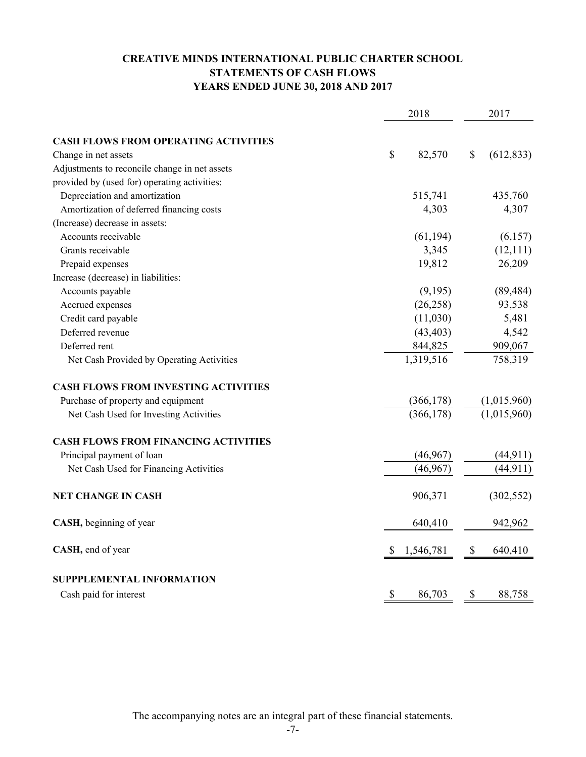# **CREATIVE MINDS INTERNATIONAL PUBLIC CHARTER SCHOOL STATEMENTS OF CASH FLOWS YEARS ENDED JUNE 30, 2018 AND 2017**

| 2018                                          |                | 2017             |
|-----------------------------------------------|----------------|------------------|
| <b>CASH FLOWS FROM OPERATING ACTIVITIES</b>   |                |                  |
| Change in net assets                          | \$<br>82,570   | \$<br>(612, 833) |
| Adjustments to reconcile change in net assets |                |                  |
| provided by (used for) operating activities:  |                |                  |
| Depreciation and amortization                 | 515,741        | 435,760          |
| Amortization of deferred financing costs      | 4,303          | 4,307            |
| (Increase) decrease in assets:                |                |                  |
| Accounts receivable                           | (61, 194)      | (6,157)          |
| Grants receivable                             | 3,345          | (12,111)         |
| Prepaid expenses                              | 19,812         | 26,209           |
| Increase (decrease) in liabilities:           |                |                  |
| Accounts payable                              | (9,195)        | (89, 484)        |
| Accrued expenses                              | (26, 258)      | 93,538           |
| Credit card payable                           | (11,030)       | 5,481            |
| Deferred revenue                              | (43, 403)      | 4,542            |
| Deferred rent                                 | 844,825        | 909,067          |
| Net Cash Provided by Operating Activities     | 1,319,516      | 758,319          |
| <b>CASH FLOWS FROM INVESTING ACTIVITIES</b>   |                |                  |
| Purchase of property and equipment            | (366, 178)     | (1,015,960)      |
| Net Cash Used for Investing Activities        | (366, 178)     | (1,015,960)      |
| <b>CASH FLOWS FROM FINANCING ACTIVITIES</b>   |                |                  |
| Principal payment of loan                     | (46,967)       | (44, 911)        |
| Net Cash Used for Financing Activities        | (46, 967)      | (44, 911)        |
| <b>NET CHANGE IN CASH</b>                     | 906,371        | (302, 552)       |
| CASH, beginning of year                       | 640,410        | 942,962          |
| CASH, end of year                             | 1,546,781<br>S | 640,410<br>\$    |
| SUPPPLEMENTAL INFORMATION                     |                |                  |
| Cash paid for interest                        | \$<br>86,703   | \$<br>88,758     |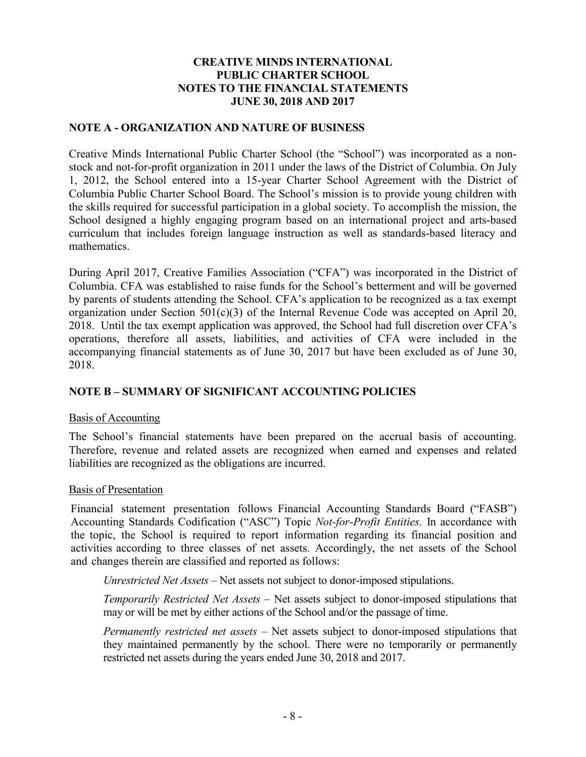## **NOTE A - ORGANIZATION AND NATURE OF BUSINESS**

Creative Minds International Public Charter School (the "School") was incorporated as a nonstock and not-for-profit organization in 2011 under the laws of the District of Columbia. On July 1, 2012, the School entered into a 15-year Charter School Agreement with the District of Columbia Public Charter School Board. The School's mission is to provide young children with the skills required for successful participation in a global society. To accomplish the mission, the School designed a highly engaging program based on an international project and arts-based curriculum that includes foreign language instruction as well as standards-based literacy and mathematics.

During April 2017, Creative Families Association ("CFA") was incorporated in the District of Columbia. CFA was established to raise funds for the School's betterment and will be governed by parents of students attending the School. CFA's application to be recognized as a tax exempt organization under Section  $501(c)(3)$  of the Internal Revenue Code was accepted on April 20, 2018. Until the tax exempt application was approved, the School had full discretion over CFA's operations, therefore all assets, liabilities, and activities of CFA were included in the accompanying financial statements as of June 30, 2017 but have been excluded as of June 30, 2018.

# **NOTE B – SUMMARY OF SIGNIFICANT ACCOUNTING POLICIES**

### Basis of Accounting

The School's financial statements have been prepared on the accrual basis of accounting. Therefore, revenue and related assets are recognized when earned and expenses and related liabilities are recognized as the obligations are incurred.

### Basis of Presentation

Financial statement presentation follows Financial Accounting Standards Board ("FASB") Accounting Standards Codification ("ASC") Topic *Not-for-Profit Entities.* In accordance with the topic, the School is required to report information regarding its financial position and activities according to three classes of net assets. Accordingly, the net assets of the School and changes therein are classified and reported as follows:

*Unrestricted Net Assets* – Net assets not subject to donor-imposed stipulations.

*Temporarily Restricted Net Assets* – Net assets subject to donor-imposed stipulations that may or will be met by either actions of the School and/or the passage of time.

*Permanently restricted net assets* – Net assets subject to donor-imposed stipulations that they maintained permanently by the school. There were no temporarily or permanently restricted net assets during the years ended June 30, 2018 and 2017.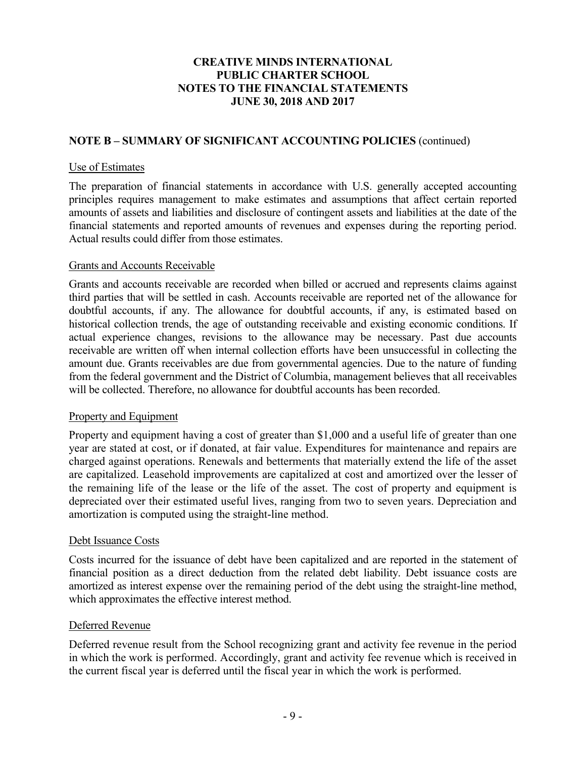# **NOTE B – SUMMARY OF SIGNIFICANT ACCOUNTING POLICIES** (continued)

### Use of Estimates

The preparation of financial statements in accordance with U.S. generally accepted accounting principles requires management to make estimates and assumptions that affect certain reported amounts of assets and liabilities and disclosure of contingent assets and liabilities at the date of the financial statements and reported amounts of revenues and expenses during the reporting period. Actual results could differ from those estimates.

## Grants and Accounts Receivable

Grants and accounts receivable are recorded when billed or accrued and represents claims against third parties that will be settled in cash. Accounts receivable are reported net of the allowance for doubtful accounts, if any. The allowance for doubtful accounts, if any, is estimated based on historical collection trends, the age of outstanding receivable and existing economic conditions. If actual experience changes, revisions to the allowance may be necessary. Past due accounts receivable are written off when internal collection efforts have been unsuccessful in collecting the amount due. Grants receivables are due from governmental agencies. Due to the nature of funding from the federal government and the District of Columbia, management believes that all receivables will be collected. Therefore, no allowance for doubtful accounts has been recorded.

### Property and Equipment

Property and equipment having a cost of greater than \$1,000 and a useful life of greater than one year are stated at cost, or if donated, at fair value. Expenditures for maintenance and repairs are charged against operations. Renewals and betterments that materially extend the life of the asset are capitalized. Leasehold improvements are capitalized at cost and amortized over the lesser of the remaining life of the lease or the life of the asset. The cost of property and equipment is depreciated over their estimated useful lives, ranging from two to seven years. Depreciation and amortization is computed using the straight-line method.

### Debt Issuance Costs

Costs incurred for the issuance of debt have been capitalized and are reported in the statement of financial position as a direct deduction from the related debt liability. Debt issuance costs are amortized as interest expense over the remaining period of the debt using the straight-line method, which approximates the effective interest method.

### Deferred Revenue

Deferred revenue result from the School recognizing grant and activity fee revenue in the period in which the work is performed. Accordingly, grant and activity fee revenue which is received in the current fiscal year is deferred until the fiscal year in which the work is performed.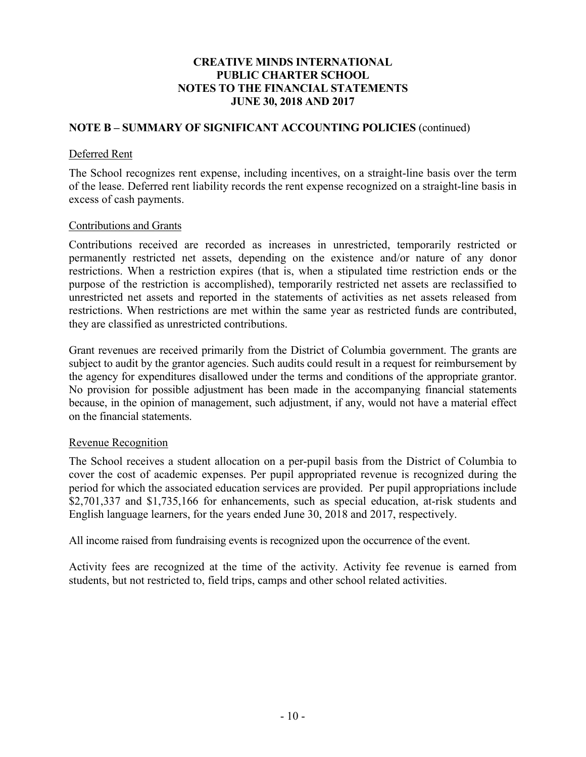## **NOTE B – SUMMARY OF SIGNIFICANT ACCOUNTING POLICIES** (continued)

#### Deferred Rent

The School recognizes rent expense, including incentives, on a straight-line basis over the term of the lease. Deferred rent liability records the rent expense recognized on a straight-line basis in excess of cash payments.

#### Contributions and Grants

Contributions received are recorded as increases in unrestricted, temporarily restricted or permanently restricted net assets, depending on the existence and/or nature of any donor restrictions. When a restriction expires (that is, when a stipulated time restriction ends or the purpose of the restriction is accomplished), temporarily restricted net assets are reclassified to unrestricted net assets and reported in the statements of activities as net assets released from restrictions. When restrictions are met within the same year as restricted funds are contributed, they are classified as unrestricted contributions.

Grant revenues are received primarily from the District of Columbia government. The grants are subject to audit by the grantor agencies. Such audits could result in a request for reimbursement by the agency for expenditures disallowed under the terms and conditions of the appropriate grantor. No provision for possible adjustment has been made in the accompanying financial statements because, in the opinion of management, such adjustment, if any, would not have a material effect on the financial statements.

### Revenue Recognition

The School receives a student allocation on a per-pupil basis from the District of Columbia to cover the cost of academic expenses. Per pupil appropriated revenue is recognized during the period for which the associated education services are provided. Per pupil appropriations include \$2,701,337 and \$1,735,166 for enhancements, such as special education, at-risk students and English language learners, for the years ended June 30, 2018 and 2017, respectively.

All income raised from fundraising events is recognized upon the occurrence of the event.

Activity fees are recognized at the time of the activity. Activity fee revenue is earned from students, but not restricted to, field trips, camps and other school related activities.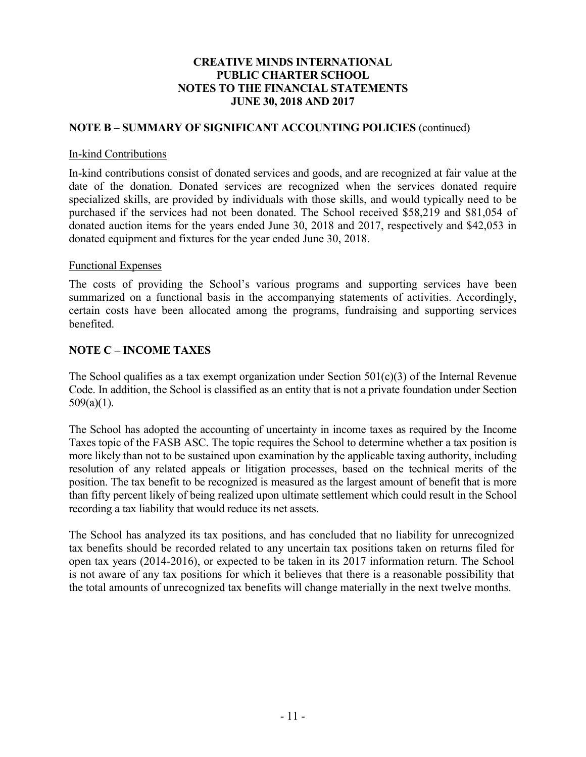### **NOTE B – SUMMARY OF SIGNIFICANT ACCOUNTING POLICIES** (continued)

#### In-kind Contributions

In-kind contributions consist of donated services and goods, and are recognized at fair value at the date of the donation. Donated services are recognized when the services donated require specialized skills, are provided by individuals with those skills, and would typically need to be purchased if the services had not been donated. The School received \$58,219 and \$81,054 of donated auction items for the years ended June 30, 2018 and 2017, respectively and \$42,053 in donated equipment and fixtures for the year ended June 30, 2018.

### Functional Expenses

The costs of providing the School's various programs and supporting services have been summarized on a functional basis in the accompanying statements of activities. Accordingly, certain costs have been allocated among the programs, fundraising and supporting services benefited.

## **NOTE C – INCOME TAXES**

The School qualifies as a tax exempt organization under Section  $501(c)(3)$  of the Internal Revenue Code. In addition, the School is classified as an entity that is not a private foundation under Section  $509(a)(1)$ .

The School has adopted the accounting of uncertainty in income taxes as required by the Income Taxes topic of the FASB ASC. The topic requires the School to determine whether a tax position is more likely than not to be sustained upon examination by the applicable taxing authority, including resolution of any related appeals or litigation processes, based on the technical merits of the position. The tax benefit to be recognized is measured as the largest amount of benefit that is more than fifty percent likely of being realized upon ultimate settlement which could result in the School recording a tax liability that would reduce its net assets.

The School has analyzed its tax positions, and has concluded that no liability for unrecognized tax benefits should be recorded related to any uncertain tax positions taken on returns filed for open tax years (2014-2016), or expected to be taken in its 2017 information return. The School is not aware of any tax positions for which it believes that there is a reasonable possibility that the total amounts of unrecognized tax benefits will change materially in the next twelve months.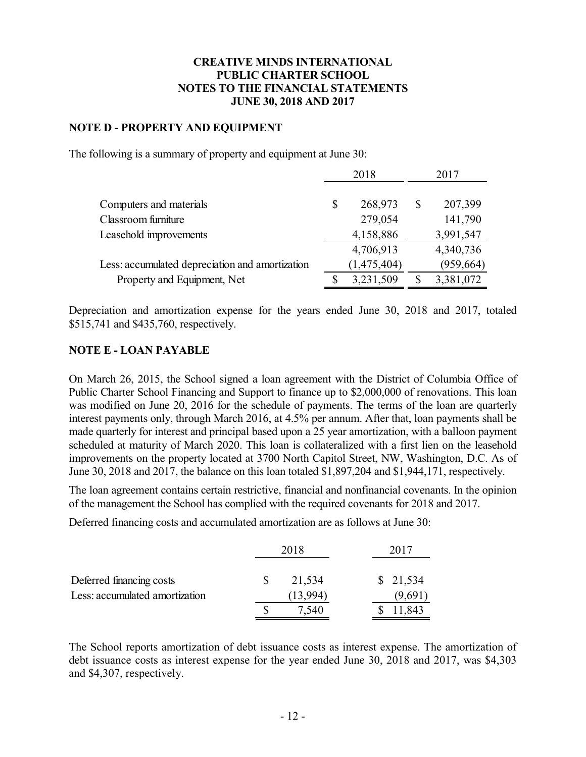## **NOTE D - PROPERTY AND EQUIPMENT**

The following is a summary of property and equipment at June 30:

|                                                 | 2018 |             | 2017       |
|-------------------------------------------------|------|-------------|------------|
|                                                 |      |             |            |
| Computers and materials                         | \$   | 268,973     | 207,399    |
| Classroom furniture                             |      | 279,054     | 141,790    |
| Leasehold improvements                          |      | 4,158,886   | 3,991,547  |
|                                                 |      | 4,706,913   | 4,340,736  |
| Less: accumulated depreciation and amortization |      | (1,475,404) | (959, 664) |
| Property and Equipment, Net                     |      | 3,231,509   | 3,381,072  |

Depreciation and amortization expense for the years ended June 30, 2018 and 2017, totaled \$515,741 and \$435,760, respectively.

## **NOTE E - LOAN PAYABLE**

On March 26, 2015, the School signed a loan agreement with the District of Columbia Office of Public Charter School Financing and Support to finance up to \$2,000,000 of renovations. This loan was modified on June 20, 2016 for the schedule of payments. The terms of the loan are quarterly interest payments only, through March 2016, at 4.5% per annum. After that, loan payments shall be made quarterly for interest and principal based upon a 25 year amortization, with a balloon payment scheduled at maturity of March 2020. This loan is collateralized with a first lien on the leasehold improvements on the property located at 3700 North Capitol Street, NW, Washington, D.C. As of June 30, 2018 and 2017, the balance on this loan totaled \$1,897,204 and \$1,944,171, respectively.

The loan agreement contains certain restrictive, financial and nonfinancial covenants. In the opinion of the management the School has complied with the required covenants for 2018 and 2017.

Deferred financing costs and accumulated amortization are as follows at June 30:

|                                                            | 2018               | 2017               |
|------------------------------------------------------------|--------------------|--------------------|
| Deferred financing costs<br>Less: accumulated amortization | 21,534<br>(13.994) | \$21,534<br>(9,691 |
|                                                            |                    | ,843               |

The School reports amortization of debt issuance costs as interest expense. The amortization of debt issuance costs as interest expense for the year ended June 30, 2018 and 2017, was \$4,303 and \$4,307, respectively.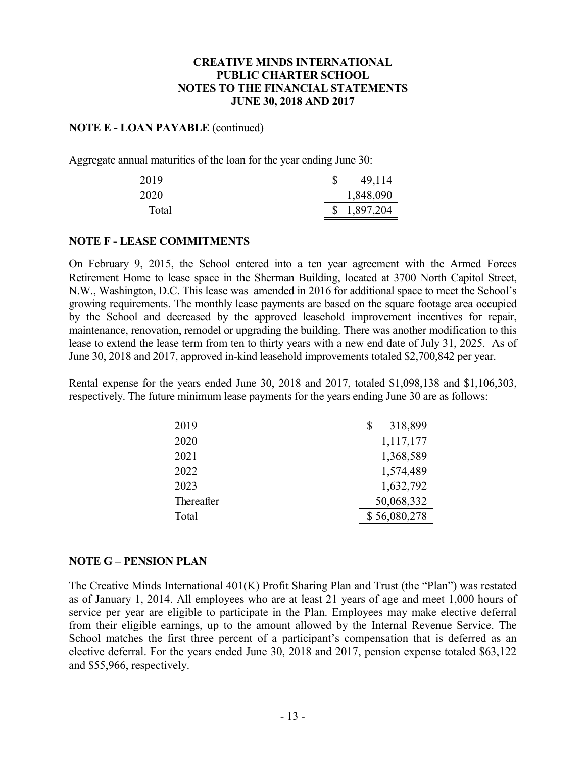## **NOTE E - LOAN PAYABLE** (continued)

Aggregate annual maturities of the loan for the year ending June 30:

| 2019  | 49,114      |
|-------|-------------|
| 2020  | 1,848,090   |
| Total | \$1,897,204 |

### **NOTE F - LEASE COMMITMENTS**

On February 9, 2015, the School entered into a ten year agreement with the Armed Forces Retirement Home to lease space in the Sherman Building, located at 3700 North Capitol Street, N.W., Washington, D.C. This lease was amended in 2016 for additional space to meet the School's growing requirements. The monthly lease payments are based on the square footage area occupied by the School and decreased by the approved leasehold improvement incentives for repair, maintenance, renovation, remodel or upgrading the building. There was another modification to this lease to extend the lease term from ten to thirty years with a new end date of July 31, 2025. As of June 30, 2018 and 2017, approved in-kind leasehold improvements totaled \$2,700,842 per year.

Rental expense for the years ended June 30, 2018 and 2017, totaled \$1,098,138 and \$1,106,303, respectively. The future minimum lease payments for the years ending June 30 are as follows:

| 2019       | 318,899      |
|------------|--------------|
| 2020       | 1,117,177    |
| 2021       | 1,368,589    |
| 2022       | 1,574,489    |
| 2023       | 1,632,792    |
| Thereafter | 50,068,332   |
| Total      | \$56,080,278 |

### **NOTE G – PENSION PLAN**

The Creative Minds International 401(K) Profit Sharing Plan and Trust (the "Plan") was restated as of January 1, 2014. All employees who are at least 21 years of age and meet 1,000 hours of service per year are eligible to participate in the Plan. Employees may make elective deferral from their eligible earnings, up to the amount allowed by the Internal Revenue Service. The School matches the first three percent of a participant's compensation that is deferred as an elective deferral. For the years ended June 30, 2018 and 2017, pension expense totaled \$63,122 and \$55,966, respectively.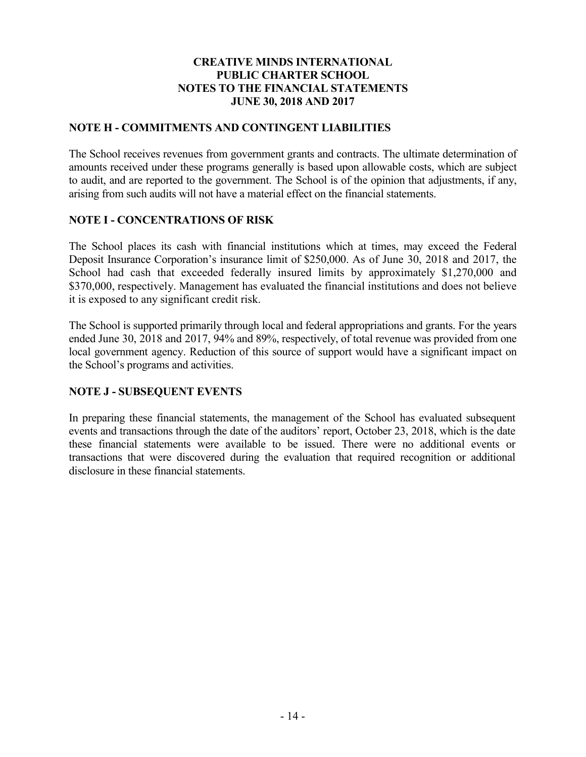# **NOTE H - COMMITMENTS AND CONTINGENT LIABILITIES**

The School receives revenues from government grants and contracts. The ultimate determination of amounts received under these programs generally is based upon allowable costs, which are subject to audit, and are reported to the government. The School is of the opinion that adjustments, if any, arising from such audits will not have a material effect on the financial statements.

# **NOTE I - CONCENTRATIONS OF RISK**

The School places its cash with financial institutions which at times, may exceed the Federal Deposit Insurance Corporation's insurance limit of \$250,000. As of June 30, 2018 and 2017, the School had cash that exceeded federally insured limits by approximately \$1,270,000 and \$370,000, respectively. Management has evaluated the financial institutions and does not believe it is exposed to any significant credit risk.

The School is supported primarily through local and federal appropriations and grants. For the years ended June 30, 2018 and 2017, 94% and 89%, respectively, of total revenue was provided from one local government agency. Reduction of this source of support would have a significant impact on the School's programs and activities.

# **NOTE J - SUBSEQUENT EVENTS**

In preparing these financial statements, the management of the School has evaluated subsequent events and transactions through the date of the auditors' report, October 23, 2018, which is the date these financial statements were available to be issued. There were no additional events or transactions that were discovered during the evaluation that required recognition or additional disclosure in these financial statements.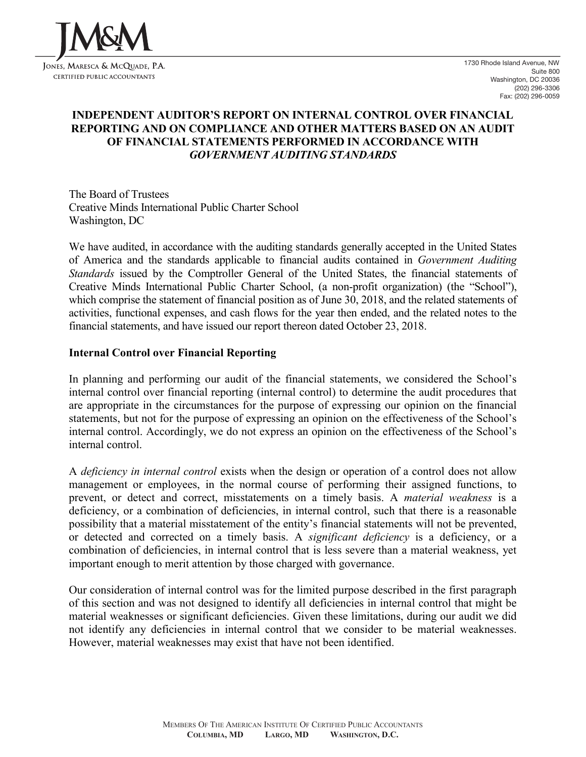

# **INDEPENDENT AUDITOR'S REPORT ON INTERNAL CONTROL OVER FINANCIAL REPORTING AND ON COMPLIANCE AND OTHER MATTERS BASED ON AN AUDIT OF FINANCIAL STATEMENTS PERFORMED IN ACCORDANCE WITH** *GOVERNMENT AUDITING STANDARDS*

The Board of Trustees Creative Minds International Public Charter School Washington, DC

We have audited, in accordance with the auditing standards generally accepted in the United States of America and the standards applicable to financial audits contained in *Government Auditing Standards* issued by the Comptroller General of the United States, the financial statements of Creative Minds International Public Charter School, (a non-profit organization) (the "School"), which comprise the statement of financial position as of June 30, 2018, and the related statements of activities, functional expenses, and cash flows for the year then ended, and the related notes to the financial statements, and have issued our report thereon dated October 23, 2018.

### **Internal Control over Financial Reporting**

In planning and performing our audit of the financial statements, we considered the School's internal control over financial reporting (internal control) to determine the audit procedures that are appropriate in the circumstances for the purpose of expressing our opinion on the financial statements, but not for the purpose of expressing an opinion on the effectiveness of the School's internal control. Accordingly, we do not express an opinion on the effectiveness of the School's internal control.

A *deficiency in internal control* exists when the design or operation of a control does not allow management or employees, in the normal course of performing their assigned functions, to prevent, or detect and correct, misstatements on a timely basis. A *material weakness* is a deficiency, or a combination of deficiencies, in internal control, such that there is a reasonable possibility that a material misstatement of the entity's financial statements will not be prevented, or detected and corrected on a timely basis. A *significant deficiency* is a deficiency, or a combination of deficiencies, in internal control that is less severe than a material weakness, yet important enough to merit attention by those charged with governance.

Our consideration of internal control was for the limited purpose described in the first paragraph of this section and was not designed to identify all deficiencies in internal control that might be material weaknesses or significant deficiencies. Given these limitations, during our audit we did not identify any deficiencies in internal control that we consider to be material weaknesses. However, material weaknesses may exist that have not been identified.